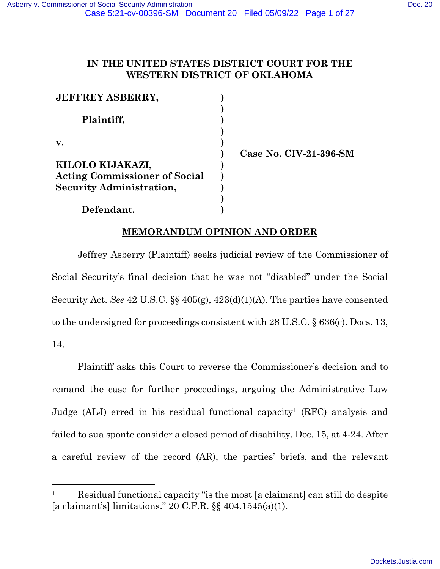# **IN THE UNITED STATES DISTRICT COURT FOR THE WESTERN DISTRICT OF OKLAHOMA**

| <b>JEFFREY ASBERRY,</b>              |  |
|--------------------------------------|--|
|                                      |  |
| Plaintiff,                           |  |
|                                      |  |
| v.                                   |  |
|                                      |  |
| KILOLO KIJAKAZI,                     |  |
| <b>Acting Commissioner of Social</b> |  |
| <b>Security Administration,</b>      |  |
|                                      |  |
| Defendant.                           |  |

**Case No. CIV-21-396-SM** 

# **MEMORANDUM OPINION AND ORDER**

Jeffrey Asberry (Plaintiff) seeks judicial review of the Commissioner of Social Security's final decision that he was not "disabled" under the Social Security Act. *See* 42 U.S.C. §§ 405(g), 423(d)(1)(A). The parties have consented to the undersigned for proceedings consistent with 28 U.S.C. § 636(c). Docs. 13, 14.

Plaintiff asks this Court to reverse the Commissioner's decision and to remand the case for further proceedings, arguing the Administrative Law Judge (ALJ) erred in his residual functional capacity<sup>1</sup> (RFC) analysis and failed to sua sponte consider a closed period of disability. Doc. 15, at 4-24. After a careful review of the record (AR), the parties' briefs, and the relevant

<sup>&</sup>lt;sup>1</sup> Residual functional capacity "is the most [a claimant] can still do despite [a claimant's] limitations." 20 C.F.R. §§ 404.1545(a)(1).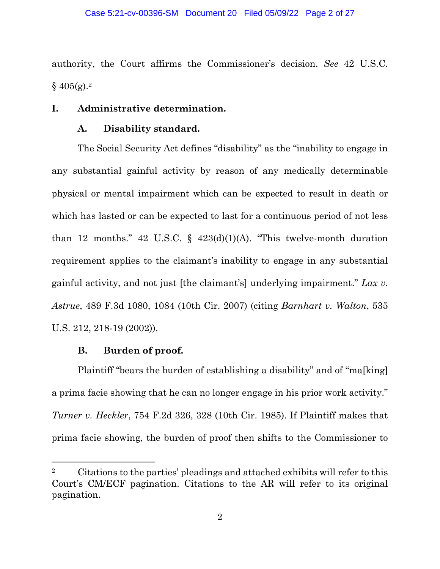authority, the Court affirms the Commissioner's decision. *See* 42 U.S.C.  $§$  405(g).<sup>2</sup>

## **I. Administrative determination.**

### **A. Disability standard.**

The Social Security Act defines "disability" as the "inability to engage in any substantial gainful activity by reason of any medically determinable physical or mental impairment which can be expected to result in death or which has lasted or can be expected to last for a continuous period of not less than 12 months." 42 U.S.C. § 423(d)(1)(A). "This twelve-month duration requirement applies to the claimant's inability to engage in any substantial gainful activity, and not just [the claimant's] underlying impairment." *Lax v. Astrue*, 489 F.3d 1080, 1084 (10th Cir. 2007) (citing *Barnhart v. Walton*, 535 U.S. 212, 218-19 (2002)).

#### **B. Burden of proof.**

Plaintiff "bears the burden of establishing a disability" and of "ma[king] a prima facie showing that he can no longer engage in his prior work activity." *Turner v. Heckler*, 754 F.2d 326, 328 (10th Cir. 1985). If Plaintiff makes that prima facie showing, the burden of proof then shifts to the Commissioner to

<sup>2</sup> Citations to the parties' pleadings and attached exhibits will refer to this Court's CM/ECF pagination. Citations to the AR will refer to its original pagination.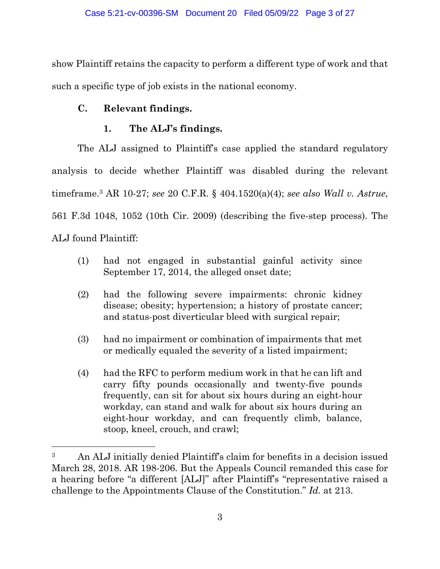show Plaintiff retains the capacity to perform a different type of work and that such a specific type of job exists in the national economy.

# **C. Relevant findings.**

# **1. The ALJ's findings.**

The ALJ assigned to Plaintiff's case applied the standard regulatory analysis to decide whether Plaintiff was disabled during the relevant timeframe.3 AR 10-27; *see* 20 C.F.R. § 404.1520(a)(4); *see also Wall v. Astrue*, 561 F.3d 1048, 1052 (10th Cir. 2009) (describing the five-step process). The ALJ found Plaintiff:

- (1) had not engaged in substantial gainful activity since September 17, 2014, the alleged onset date;
- (2) had the following severe impairments: chronic kidney disease; obesity; hypertension; a history of prostate cancer; and status-post diverticular bleed with surgical repair;
- (3) had no impairment or combination of impairments that met or medically equaled the severity of a listed impairment;
- (4) had the RFC to perform medium work in that he can lift and carry fifty pounds occasionally and twenty-five pounds frequently, can sit for about six hours during an eight-hour workday, can stand and walk for about six hours during an eight-hour workday, and can frequently climb, balance, stoop, kneel, crouch, and crawl;

<sup>3</sup> An ALJ initially denied Plaintiff's claim for benefits in a decision issued March 28, 2018. AR 198-206. But the Appeals Council remanded this case for a hearing before "a different [ALJ]" after Plaintiff's "representative raised a challenge to the Appointments Clause of the Constitution." *Id.* at 213.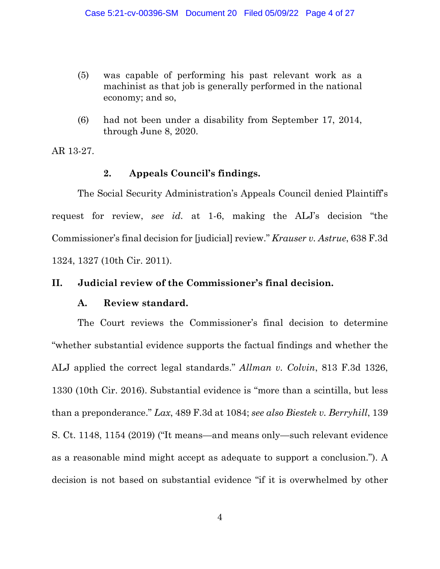- (5) was capable of performing his past relevant work as a machinist as that job is generally performed in the national economy; and so,
- (6) had not been under a disability from September 17, 2014, through June 8, 2020.

AR 13-27.

# **2. Appeals Council's findings.**

The Social Security Administration's Appeals Council denied Plaintiff's request for review, *see id.* at 1-6, making the ALJ's decision "the Commissioner's final decision for [judicial] review." *Krauser v. Astrue*, 638 F.3d 1324, 1327 (10th Cir. 2011).

## **II. Judicial review of the Commissioner's final decision.**

## **A. Review standard.**

The Court reviews the Commissioner's final decision to determine "whether substantial evidence supports the factual findings and whether the ALJ applied the correct legal standards." *Allman v. Colvin*, 813 F.3d 1326, 1330 (10th Cir. 2016). Substantial evidence is "more than a scintilla, but less than a preponderance." *Lax*, 489 F.3d at 1084; *see also Biestek v. Berryhill*, 139 S. Ct. 1148, 1154 (2019) ("It means—and means only—such relevant evidence as a reasonable mind might accept as adequate to support a conclusion."). A decision is not based on substantial evidence "if it is overwhelmed by other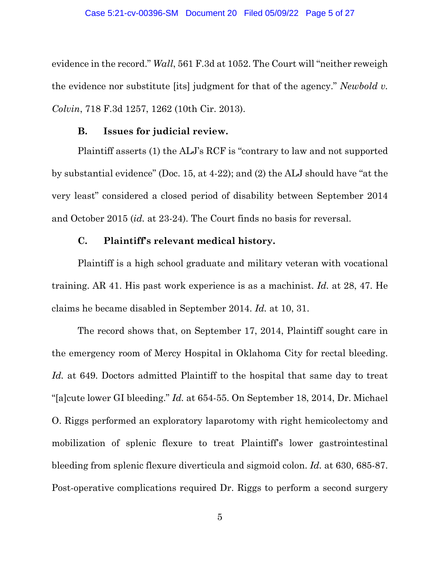evidence in the record." *Wall*, 561 F.3d at 1052. The Court will "neither reweigh the evidence nor substitute [its] judgment for that of the agency." *Newbold v. Colvin*, 718 F.3d 1257, 1262 (10th Cir. 2013).

## **B. Issues for judicial review.**

Plaintiff asserts (1) the ALJ's RCF is "contrary to law and not supported by substantial evidence" (Doc. 15, at 4-22); and (2) the ALJ should have "at the very least" considered a closed period of disability between September 2014 and October 2015 (*id.* at 23-24). The Court finds no basis for reversal.

## **C. Plaintiff's relevant medical history.**

Plaintiff is a high school graduate and military veteran with vocational training. AR 41. His past work experience is as a machinist. *Id.* at 28, 47. He claims he became disabled in September 2014. *Id.* at 10, 31.

The record shows that, on September 17, 2014, Plaintiff sought care in the emergency room of Mercy Hospital in Oklahoma City for rectal bleeding. *Id.* at 649. Doctors admitted Plaintiff to the hospital that same day to treat "[a]cute lower GI bleeding." *Id.* at 654-55. On September 18, 2014, Dr. Michael O. Riggs performed an exploratory laparotomy with right hemicolectomy and mobilization of splenic flexure to treat Plaintiff's lower gastrointestinal bleeding from splenic flexure diverticula and sigmoid colon. *Id.* at 630, 685-87. Post-operative complications required Dr. Riggs to perform a second surgery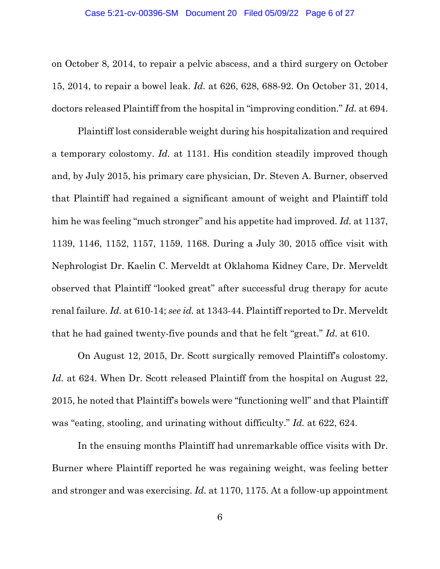#### Case 5:21-cv-00396-SM Document 20 Filed 05/09/22 Page 6 of 27

on October 8, 2014, to repair a pelvic abscess, and a third surgery on October 15, 2014, to repair a bowel leak. *Id.* at 626, 628, 688-92. On October 31, 2014, doctors released Plaintiff from the hospital in "improving condition." *Id.* at 694.

Plaintiff lost considerable weight during his hospitalization and required a temporary colostomy. *Id.* at 1131. His condition steadily improved though and, by July 2015, his primary care physician, Dr. Steven A. Burner, observed that Plaintiff had regained a significant amount of weight and Plaintiff told him he was feeling "much stronger" and his appetite had improved. *Id.* at 1137, 1139, 1146, 1152, 1157, 1159, 1168. During a July 30, 2015 office visit with Nephrologist Dr. Kaelin C. Merveldt at Oklahoma Kidney Care, Dr. Merveldt observed that Plaintiff "looked great" after successful drug therapy for acute renal failure. *Id.* at 610-14; *see id.* at 1343-44. Plaintiff reported to Dr. Merveldt that he had gained twenty-five pounds and that he felt "great." *Id.* at 610.

On August 12, 2015, Dr. Scott surgically removed Plaintiff's colostomy. *Id.* at 624. When Dr. Scott released Plaintiff from the hospital on August 22, 2015, he noted that Plaintiff's bowels were "functioning well" and that Plaintiff was "eating, stooling, and urinating without difficulty." *Id.* at 622, 624.

In the ensuing months Plaintiff had unremarkable office visits with Dr. Burner where Plaintiff reported he was regaining weight, was feeling better and stronger and was exercising. *Id.* at 1170, 1175. At a follow-up appointment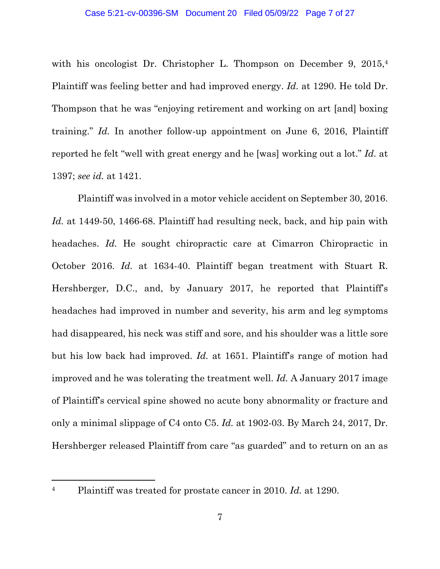with his oncologist Dr. Christopher L. Thompson on December 9, 2015,<sup>4</sup> Plaintiff was feeling better and had improved energy. *Id.* at 1290. He told Dr. Thompson that he was "enjoying retirement and working on art [and] boxing training." *Id.* In another follow-up appointment on June 6, 2016, Plaintiff reported he felt "well with great energy and he [was] working out a lot." *Id.* at 1397; *see id.* at 1421.

 Plaintiff was involved in a motor vehicle accident on September 30, 2016. *Id.* at 1449-50, 1466-68. Plaintiff had resulting neck, back, and hip pain with headaches. *Id.* He sought chiropractic care at Cimarron Chiropractic in October 2016. *Id.* at 1634-40. Plaintiff began treatment with Stuart R. Hershberger, D.C., and, by January 2017, he reported that Plaintiff's headaches had improved in number and severity, his arm and leg symptoms had disappeared, his neck was stiff and sore, and his shoulder was a little sore but his low back had improved. *Id.* at 1651. Plaintiff's range of motion had improved and he was tolerating the treatment well. *Id.* A January 2017 image of Plaintiff's cervical spine showed no acute bony abnormality or fracture and only a minimal slippage of C4 onto C5. *Id.* at 1902-03. By March 24, 2017, Dr. Hershberger released Plaintiff from care "as guarded" and to return on an as

<sup>4</sup> Plaintiff was treated for prostate cancer in 2010. *Id.* at 1290.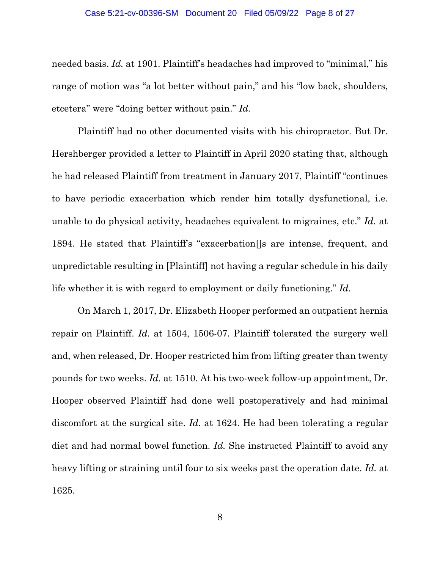needed basis. *Id.* at 1901. Plaintiff's headaches had improved to "minimal," his range of motion was "a lot better without pain," and his "low back, shoulders, etcetera" were "doing better without pain." *Id.*

Plaintiff had no other documented visits with his chiropractor. But Dr. Hershberger provided a letter to Plaintiff in April 2020 stating that, although he had released Plaintiff from treatment in January 2017, Plaintiff "continues to have periodic exacerbation which render him totally dysfunctional, i.e. unable to do physical activity, headaches equivalent to migraines, etc." *Id.* at 1894. He stated that Plaintiff's "exacerbation[]s are intense, frequent, and unpredictable resulting in [Plaintiff] not having a regular schedule in his daily life whether it is with regard to employment or daily functioning." *Id.*

 On March 1, 2017, Dr. Elizabeth Hooper performed an outpatient hernia repair on Plaintiff. *Id.* at 1504, 1506-07. Plaintiff tolerated the surgery well and, when released, Dr. Hooper restricted him from lifting greater than twenty pounds for two weeks. *Id.* at 1510. At his two-week follow-up appointment, Dr. Hooper observed Plaintiff had done well postoperatively and had minimal discomfort at the surgical site. *Id.* at 1624. He had been tolerating a regular diet and had normal bowel function. *Id.* She instructed Plaintiff to avoid any heavy lifting or straining until four to six weeks past the operation date. *Id.* at 1625.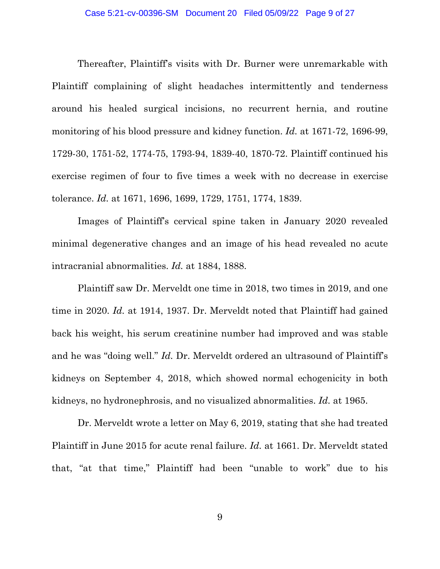Thereafter, Plaintiff's visits with Dr. Burner were unremarkable with Plaintiff complaining of slight headaches intermittently and tenderness around his healed surgical incisions, no recurrent hernia, and routine monitoring of his blood pressure and kidney function. *Id.* at 1671-72, 1696-99, 1729-30, 1751-52, 1774-75, 1793-94, 1839-40, 1870-72. Plaintiff continued his exercise regimen of four to five times a week with no decrease in exercise tolerance. *Id.* at 1671, 1696, 1699, 1729, 1751, 1774, 1839.

Images of Plaintiff's cervical spine taken in January 2020 revealed minimal degenerative changes and an image of his head revealed no acute intracranial abnormalities. *Id.* at 1884, 1888.

 Plaintiff saw Dr. Merveldt one time in 2018, two times in 2019, and one time in 2020. *Id.* at 1914, 1937. Dr. Merveldt noted that Plaintiff had gained back his weight, his serum creatinine number had improved and was stable and he was "doing well." *Id.* Dr. Merveldt ordered an ultrasound of Plaintiff's kidneys on September 4, 2018, which showed normal echogenicity in both kidneys, no hydronephrosis, and no visualized abnormalities. *Id.* at 1965.

 Dr. Merveldt wrote a letter on May 6, 2019, stating that she had treated Plaintiff in June 2015 for acute renal failure. *Id.* at 1661. Dr. Merveldt stated that, "at that time," Plaintiff had been "unable to work" due to his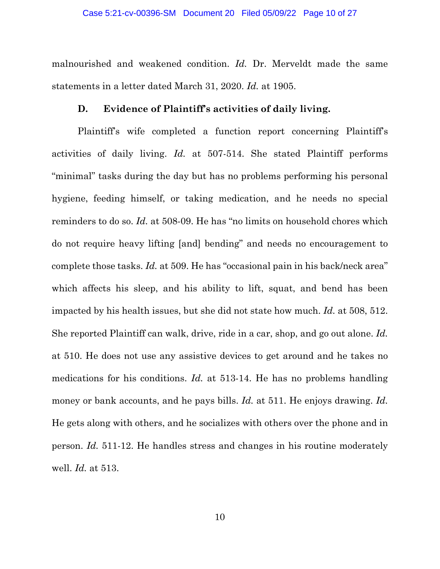malnourished and weakened condition. *Id.* Dr. Merveldt made the same statements in a letter dated March 31, 2020. *Id.* at 1905.

#### **D. Evidence of Plaintiff's activities of daily living.**

 Plaintiff's wife completed a function report concerning Plaintiff's activities of daily living. *Id.* at 507-514. She stated Plaintiff performs "minimal" tasks during the day but has no problems performing his personal hygiene, feeding himself, or taking medication, and he needs no special reminders to do so. *Id.* at 508-09. He has "no limits on household chores which do not require heavy lifting [and] bending" and needs no encouragement to complete those tasks. *Id.* at 509. He has "occasional pain in his back/neck area" which affects his sleep, and his ability to lift, squat, and bend has been impacted by his health issues, but she did not state how much. *Id.* at 508, 512. She reported Plaintiff can walk, drive, ride in a car, shop, and go out alone. *Id.* at 510. He does not use any assistive devices to get around and he takes no medications for his conditions. *Id.* at 513-14. He has no problems handling money or bank accounts, and he pays bills. *Id.* at 511. He enjoys drawing. *Id.* He gets along with others, and he socializes with others over the phone and in person. *Id.* 511-12. He handles stress and changes in his routine moderately well. *Id.* at 513.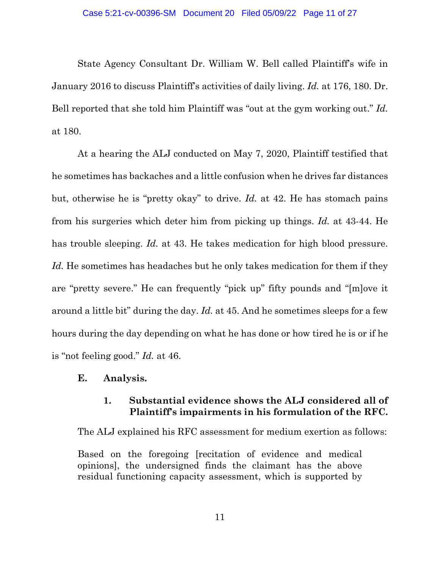State Agency Consultant Dr. William W. Bell called Plaintiff's wife in January 2016 to discuss Plaintiff's activities of daily living. *Id.* at 176, 180. Dr. Bell reported that she told him Plaintiff was "out at the gym working out." *Id.* at 180.

 At a hearing the ALJ conducted on May 7, 2020, Plaintiff testified that he sometimes has backaches and a little confusion when he drives far distances but, otherwise he is "pretty okay" to drive. *Id.* at 42. He has stomach pains from his surgeries which deter him from picking up things. *Id.* at 43-44. He has trouble sleeping. *Id.* at 43. He takes medication for high blood pressure. *Id.* He sometimes has headaches but he only takes medication for them if they are "pretty severe." He can frequently "pick up" fifty pounds and "[m]ove it around a little bit" during the day. *Id.* at 45. And he sometimes sleeps for a few hours during the day depending on what he has done or how tired he is or if he is "not feeling good." *Id.* at 46.

## **E. Analysis.**

## **1. Substantial evidence shows the ALJ considered all of Plaintiff's impairments in his formulation of the RFC.**

The ALJ explained his RFC assessment for medium exertion as follows:

Based on the foregoing [recitation of evidence and medical opinions], the undersigned finds the claimant has the above residual functioning capacity assessment, which is supported by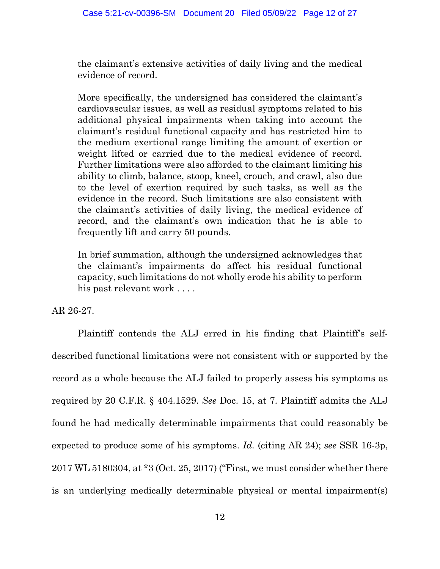the claimant's extensive activities of daily living and the medical evidence of record.

More specifically, the undersigned has considered the claimant's cardiovascular issues, as well as residual symptoms related to his additional physical impairments when taking into account the claimant's residual functional capacity and has restricted him to the medium exertional range limiting the amount of exertion or weight lifted or carried due to the medical evidence of record. Further limitations were also afforded to the claimant limiting his ability to climb, balance, stoop, kneel, crouch, and crawl, also due to the level of exertion required by such tasks, as well as the evidence in the record. Such limitations are also consistent with the claimant's activities of daily living, the medical evidence of record, and the claimant's own indication that he is able to frequently lift and carry 50 pounds.

In brief summation, although the undersigned acknowledges that the claimant's impairments do affect his residual functional capacity, such limitations do not wholly erode his ability to perform his past relevant work . . . .

AR 26-27.

Plaintiff contends the ALJ erred in his finding that Plaintiff's selfdescribed functional limitations were not consistent with or supported by the record as a whole because the ALJ failed to properly assess his symptoms as required by 20 C.F.R. § 404.1529. *See* Doc. 15, at 7. Plaintiff admits the ALJ found he had medically determinable impairments that could reasonably be expected to produce some of his symptoms. *Id.* (citing AR 24); *see* SSR 16-3p, 2017 WL 5180304, at \*3 (Oct. 25, 2017) ("First, we must consider whether there is an underlying medically determinable physical or mental impairment(s)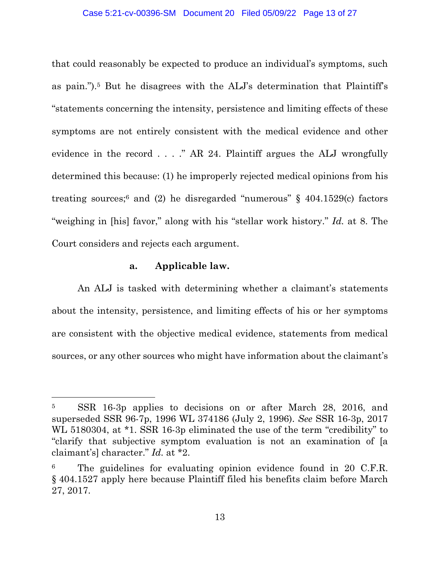that could reasonably be expected to produce an individual's symptoms, such as pain.").5 But he disagrees with the ALJ's determination that Plaintiff's "statements concerning the intensity, persistence and limiting effects of these symptoms are not entirely consistent with the medical evidence and other evidence in the record  $\ldots$  ." AR 24. Plaintiff argues the ALJ wrongfully determined this because: (1) he improperly rejected medical opinions from his treating sources;<sup>6</sup> and (2) he disregarded "numerous"  $\S$  404.1529(c) factors "weighing in [his] favor," along with his "stellar work history." *Id.* at 8. The Court considers and rejects each argument.

#### **a. Applicable law.**

An ALJ is tasked with determining whether a claimant's statements about the intensity, persistence, and limiting effects of his or her symptoms are consistent with the objective medical evidence, statements from medical sources, or any other sources who might have information about the claimant's

<sup>5</sup> SSR 16-3p applies to decisions on or after March 28, 2016, and superseded SSR 96-7p, 1996 WL 374186 (July 2, 1996). *See* SSR 16-3p, 2017 WL 5180304, at \*1. SSR 16-3p eliminated the use of the term "credibility" to "clarify that subjective symptom evaluation is not an examination of [a claimant's] character." *Id.* at \*2.

The guidelines for evaluating opinion evidence found in 20 C.F.R. § 404.1527 apply here because Plaintiff filed his benefits claim before March 27, 2017.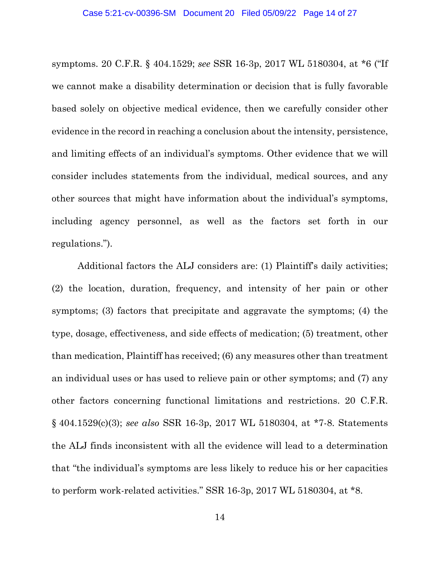symptoms. 20 C.F.R. § 404.1529; *see* SSR 16-3p, 2017 WL 5180304, at \*6 ("If we cannot make a disability determination or decision that is fully favorable based solely on objective medical evidence, then we carefully consider other evidence in the record in reaching a conclusion about the intensity, persistence, and limiting effects of an individual's symptoms. Other evidence that we will consider includes statements from the individual, medical sources, and any other sources that might have information about the individual's symptoms, including agency personnel, as well as the factors set forth in our regulations.").

Additional factors the ALJ considers are: (1) Plaintiff's daily activities; (2) the location, duration, frequency, and intensity of her pain or other symptoms; (3) factors that precipitate and aggravate the symptoms; (4) the type, dosage, effectiveness, and side effects of medication; (5) treatment, other than medication, Plaintiff has received; (6) any measures other than treatment an individual uses or has used to relieve pain or other symptoms; and (7) any other factors concerning functional limitations and restrictions. 20 C.F.R. § 404.1529(c)(3); *see also* SSR 16-3p, 2017 WL 5180304, at \*7-8. Statements the ALJ finds inconsistent with all the evidence will lead to a determination that "the individual's symptoms are less likely to reduce his or her capacities to perform work-related activities." SSR 16-3p, 2017 WL 5180304, at \*8.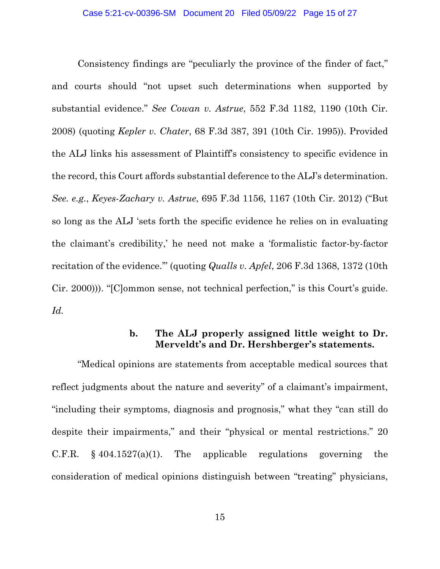Consistency findings are "peculiarly the province of the finder of fact," and courts should "not upset such determinations when supported by substantial evidence." *See Cowan v. Astrue*, 552 F.3d 1182, 1190 (10th Cir. 2008) (quoting *Kepler v. Chater*, 68 F.3d 387, 391 (10th Cir. 1995)). Provided the ALJ links his assessment of Plaintiff's consistency to specific evidence in the record, this Court affords substantial deference to the ALJ's determination. *See. e.g.*, *Keyes-Zachary v. Astrue*, 695 F.3d 1156, 1167 (10th Cir. 2012) ("But so long as the ALJ 'sets forth the specific evidence he relies on in evaluating the claimant's credibility,' he need not make a 'formalistic factor-by-factor recitation of the evidence.'" (quoting *Qualls v. Apfel*, 206 F.3d 1368, 1372 (10th Cir. 2000))). "[C]ommon sense, not technical perfection," is this Court's guide. *Id.*

## **b. The ALJ properly assigned little weight to Dr. Merveldt's and Dr. Hershberger's statements.**

"Medical opinions are statements from acceptable medical sources that reflect judgments about the nature and severity" of a claimant's impairment, "including their symptoms, diagnosis and prognosis," what they "can still do despite their impairments," and their "physical or mental restrictions." 20 C.F.R.  $§ 404.1527(a)(1)$ . The applicable regulations governing the consideration of medical opinions distinguish between "treating" physicians,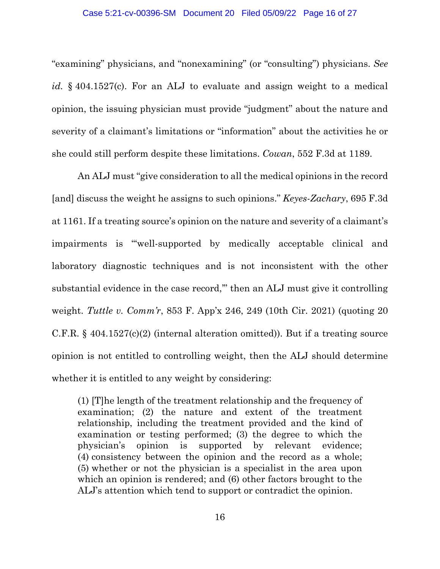"examining" physicians, and "nonexamining" (or "consulting") physicians. *See id.* § 404.1527(c). For an ALJ to evaluate and assign weight to a medical opinion, the issuing physician must provide "judgment" about the nature and severity of a claimant's limitations or "information" about the activities he or she could still perform despite these limitations. *Cowan*, 552 F.3d at 1189.

An ALJ must "give consideration to all the medical opinions in the record [and] discuss the weight he assigns to such opinions." *Keyes-Zachary*, 695 F.3d at 1161. If a treating source's opinion on the nature and severity of a claimant's impairments is "'well-supported by medically acceptable clinical and laboratory diagnostic techniques and is not inconsistent with the other substantial evidence in the case record,'" then an ALJ must give it controlling weight. *Tuttle v. Comm'r*, 853 F. App'x 246, 249 (10th Cir. 2021) (quoting 20 C.F.R. § 404.1527(c)(2) (internal alteration omitted)). But if a treating source opinion is not entitled to controlling weight, then the ALJ should determine whether it is entitled to any weight by considering:

(1) [T]he length of the treatment relationship and the frequency of examination; (2) the nature and extent of the treatment relationship, including the treatment provided and the kind of examination or testing performed; (3) the degree to which the physician's opinion is supported by relevant evidence; (4) consistency between the opinion and the record as a whole; (5) whether or not the physician is a specialist in the area upon which an opinion is rendered; and (6) other factors brought to the ALJ's attention which tend to support or contradict the opinion.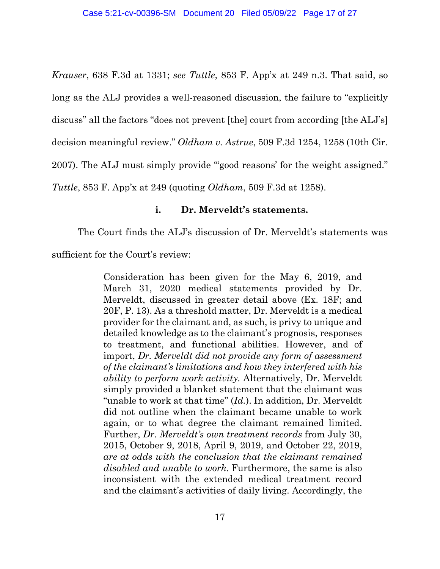*Krauser*, 638 F.3d at 1331; *see Tuttle*, 853 F. App'x at 249 n.3. That said, so long as the ALJ provides a well-reasoned discussion, the failure to "explicitly discuss" all the factors "does not prevent [the] court from according [the ALJ's] decision meaningful review." *Oldham v. Astrue*, 509 F.3d 1254, 1258 (10th Cir. 2007). The ALJ must simply provide "'good reasons' for the weight assigned." *Tuttle*, 853 F. App'x at 249 (quoting *Oldham*, 509 F.3d at 1258).

## **i. Dr. Merveldt's statements.**

The Court finds the ALJ's discussion of Dr. Merveldt's statements was

sufficient for the Court's review:

Consideration has been given for the May 6, 2019, and March 31, 2020 medical statements provided by Dr. Merveldt, discussed in greater detail above (Ex. 18F; and 20F, P. 13). As a threshold matter, Dr. Merveldt is a medical provider for the claimant and, as such, is privy to unique and detailed knowledge as to the claimant's prognosis, responses to treatment, and functional abilities. However, and of import, *Dr. Merveldt did not provide any form of assessment of the claimant's limitations and how they interfered with his ability to perform work activity.* Alternatively, Dr. Merveldt simply provided a blanket statement that the claimant was "unable to work at that time" (*Id.*). In addition, Dr. Merveldt did not outline when the claimant became unable to work again, or to what degree the claimant remained limited. Further, *Dr. Merveldt's own treatment records* from July 30, 2015, October 9, 2018, April 9, 2019, and October 22, 2019, *are at odds with the conclusion that the claimant remained disabled and unable to work*. Furthermore, the same is also inconsistent with the extended medical treatment record and the claimant's activities of daily living. Accordingly, the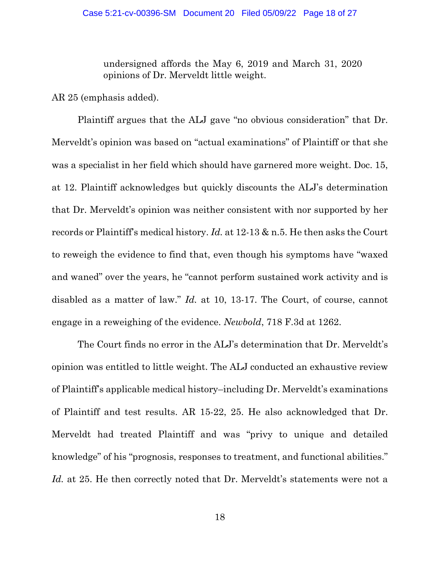undersigned affords the May 6, 2019 and March 31, 2020 opinions of Dr. Merveldt little weight.

AR 25 (emphasis added).

 Plaintiff argues that the ALJ gave "no obvious consideration" that Dr. Merveldt's opinion was based on "actual examinations" of Plaintiff or that she was a specialist in her field which should have garnered more weight. Doc. 15, at 12. Plaintiff acknowledges but quickly discounts the ALJ's determination that Dr. Merveldt's opinion was neither consistent with nor supported by her records or Plaintiff's medical history. *Id.* at 12-13 & n.5. He then asks the Court to reweigh the evidence to find that, even though his symptoms have "waxed and waned" over the years, he "cannot perform sustained work activity and is disabled as a matter of law." *Id.* at 10, 13-17. The Court, of course, cannot engage in a reweighing of the evidence. *Newbold*, 718 F.3d at 1262.

 The Court finds no error in the ALJ's determination that Dr. Merveldt's opinion was entitled to little weight. The ALJ conducted an exhaustive review of Plaintiff's applicable medical history–including Dr. Merveldt's examinations of Plaintiff and test results. AR 15-22, 25. He also acknowledged that Dr. Merveldt had treated Plaintiff and was "privy to unique and detailed knowledge" of his "prognosis, responses to treatment, and functional abilities." Id. at 25. He then correctly noted that Dr. Merveldt's statements were not a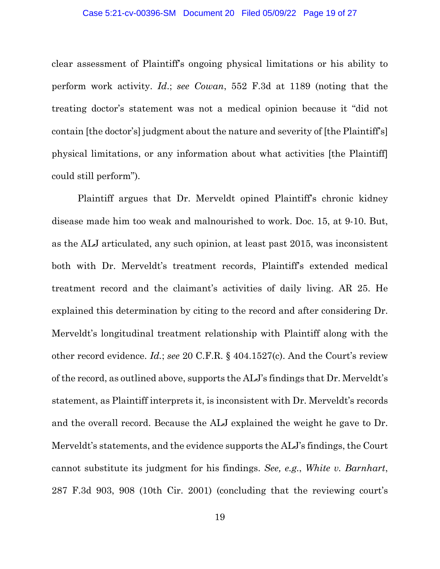clear assessment of Plaintiff's ongoing physical limitations or his ability to perform work activity. *Id*.; *see Cowan*, 552 F.3d at 1189 (noting that the treating doctor's statement was not a medical opinion because it "did not contain [the doctor's] judgment about the nature and severity of [the Plaintiff's] physical limitations, or any information about what activities [the Plaintiff] could still perform").

Plaintiff argues that Dr. Merveldt opined Plaintiff's chronic kidney disease made him too weak and malnourished to work. Doc. 15, at 9-10. But, as the ALJ articulated, any such opinion, at least past 2015, was inconsistent both with Dr. Merveldt's treatment records, Plaintiff's extended medical treatment record and the claimant's activities of daily living. AR 25. He explained this determination by citing to the record and after considering Dr. Merveldt's longitudinal treatment relationship with Plaintiff along with the other record evidence. *Id.*; *see* 20 C.F.R. § 404.1527(c). And the Court's review of the record, as outlined above, supports the ALJ's findings that Dr. Merveldt's statement, as Plaintiff interprets it, is inconsistent with Dr. Merveldt's records and the overall record. Because the ALJ explained the weight he gave to Dr. Merveldt's statements, and the evidence supports the ALJ's findings, the Court cannot substitute its judgment for his findings. *See, e.g.*, *White v. Barnhart*, 287 F.3d 903, 908 (10th Cir. 2001) (concluding that the reviewing court's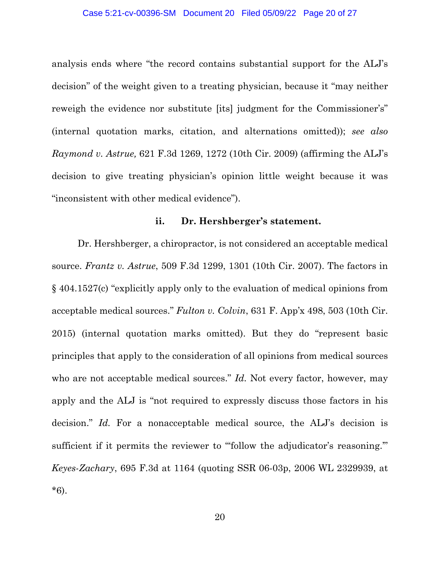analysis ends where "the record contains substantial support for the ALJ's decision" of the weight given to a treating physician, because it "may neither reweigh the evidence nor substitute [its] judgment for the Commissioner's" (internal quotation marks, citation, and alternations omitted)); *see also Raymond v. Astrue,* 621 F.3d 1269, 1272 (10th Cir. 2009) (affirming the ALJ's decision to give treating physician's opinion little weight because it was "inconsistent with other medical evidence").

## **ii. Dr. Hershberger's statement.**

Dr. Hershberger, a chiropractor, is not considered an acceptable medical source. *Frantz v. Astrue*, 509 F.3d 1299, 1301 (10th Cir. 2007). The factors in § 404.1527(c) "explicitly apply only to the evaluation of medical opinions from acceptable medical sources." *Fulton v. Colvin*, 631 F. App'x 498, 503 (10th Cir. 2015) (internal quotation marks omitted). But they do "represent basic principles that apply to the consideration of all opinions from medical sources who are not acceptable medical sources." *Id.* Not every factor, however, may apply and the ALJ is "not required to expressly discuss those factors in his decision." *Id.* For a nonacceptable medical source, the ALJ's decision is sufficient if it permits the reviewer to "follow the adjudicator's reasoning." *Keyes-Zachary*, 695 F.3d at 1164 (quoting SSR 06-03p, 2006 WL 2329939, at \*6).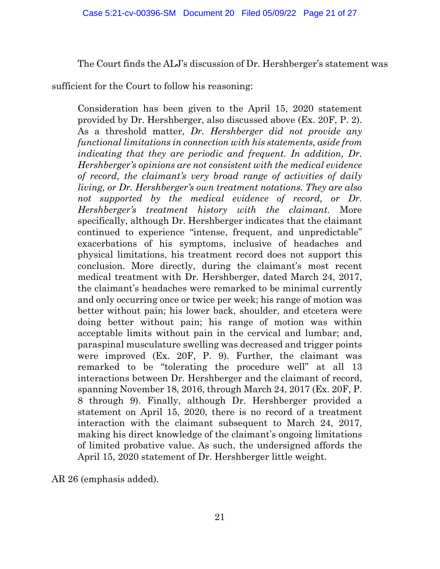The Court finds the ALJ's discussion of Dr. Hershberger's statement was

sufficient for the Court to follow his reasoning:

Consideration has been given to the April 15, 2020 statement provided by Dr. Hershberger, also discussed above (Ex. 20F, P. 2). As a threshold matter, *Dr. Hershberger did not provide any functional limitations in connection with his statements, aside from indicating that they are periodic and frequent*. *In addition, Dr. Hershberger's opinions are not consistent with the medical evidence of record, the claimant's very broad range of activities of daily living, or Dr. Hershberger's own treatment notations. They are also*  not supported by the medical evidence of record, or Dr. *Hershberger's treatment history with the claimant.* More specifically, although Dr. Hershberger indicates that the claimant continued to experience "intense, frequent, and unpredictable" exacerbations of his symptoms, inclusive of headaches and physical limitations, his treatment record does not support this conclusion. More directly, during the claimant's most recent medical treatment with Dr. Hershberger, dated March 24, 2017, the claimant's headaches were remarked to be minimal currently and only occurring once or twice per week; his range of motion was better without pain; his lower back, shoulder, and etcetera were doing better without pain; his range of motion was within acceptable limits without pain in the cervical and lumbar; and, paraspinal musculature swelling was decreased and trigger points were improved (Ex. 20F, P. 9). Further, the claimant was remarked to be "tolerating the procedure well" at all 13 interactions between Dr. Hershberger and the claimant of record, spanning November 18, 2016, through March 24, 2017 (Ex. 20F, P. 8 through 9). Finally, although Dr. Hershberger provided a statement on April 15, 2020, there is no record of a treatment interaction with the claimant subsequent to March 24, 2017, making his direct knowledge of the claimant's ongoing limitations of limited probative value. As such, the undersigned affords the April 15, 2020 statement of Dr. Hershberger little weight.

AR 26 (emphasis added).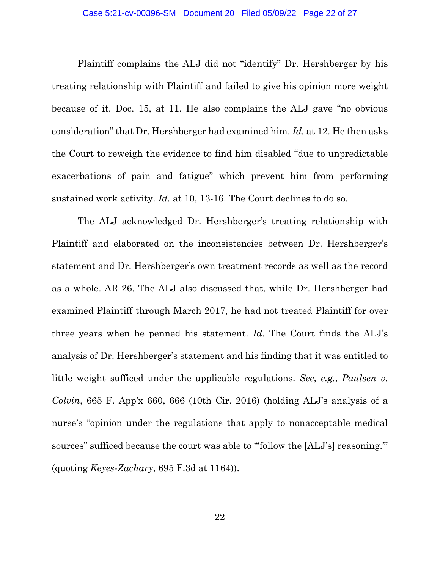Plaintiff complains the ALJ did not "identify" Dr. Hershberger by his treating relationship with Plaintiff and failed to give his opinion more weight because of it. Doc. 15, at 11. He also complains the ALJ gave "no obvious consideration" that Dr. Hershberger had examined him. *Id.* at 12. He then asks the Court to reweigh the evidence to find him disabled "due to unpredictable exacerbations of pain and fatigue" which prevent him from performing sustained work activity. *Id.* at 10, 13-16. The Court declines to do so.

The ALJ acknowledged Dr. Hershberger's treating relationship with Plaintiff and elaborated on the inconsistencies between Dr. Hershberger's statement and Dr. Hershberger's own treatment records as well as the record as a whole. AR 26. The ALJ also discussed that, while Dr. Hershberger had examined Plaintiff through March 2017, he had not treated Plaintiff for over three years when he penned his statement. *Id.* The Court finds the ALJ's analysis of Dr. Hershberger's statement and his finding that it was entitled to little weight sufficed under the applicable regulations. *See, e.g.*, *Paulsen v. Colvin*, 665 F. App'x 660, 666 (10th Cir. 2016) (holding ALJ's analysis of a nurse's "opinion under the regulations that apply to nonacceptable medical sources" sufficed because the court was able to "follow the [ALJ's] reasoning." (quoting *Keyes-Zachary*, 695 F.3d at 1164)).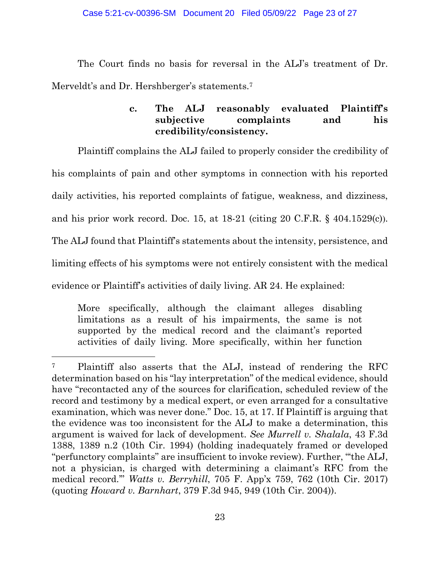The Court finds no basis for reversal in the ALJ's treatment of Dr. Merveldt's and Dr. Hershberger's statements.<sup>7</sup>

# **c. The ALJ reasonably evaluated Plaintiff's subjective complaints and his credibility/consistency.**

Plaintiff complains the ALJ failed to properly consider the credibility of his complaints of pain and other symptoms in connection with his reported daily activities, his reported complaints of fatigue, weakness, and dizziness, and his prior work record. Doc. 15, at 18-21 (citing 20 C.F.R. § 404.1529(c)). The ALJ found that Plaintiff's statements about the intensity, persistence, and limiting effects of his symptoms were not entirely consistent with the medical

evidence or Plaintiff's activities of daily living. AR 24. He explained:

More specifically, although the claimant alleges disabling limitations as a result of his impairments, the same is not supported by the medical record and the claimant's reported activities of daily living. More specifically, within her function

<sup>7</sup> Plaintiff also asserts that the ALJ, instead of rendering the RFC determination based on his "lay interpretation" of the medical evidence, should have "recontacted any of the sources for clarification, scheduled review of the record and testimony by a medical expert, or even arranged for a consultative examination, which was never done." Doc. 15, at 17. If Plaintiff is arguing that the evidence was too inconsistent for the ALJ to make a determination, this argument is waived for lack of development. *See Murrell v. Shalala*, 43 F.3d 1388, 1389 n.2 (10th Cir. 1994) (holding inadequately framed or developed "perfunctory complaints" are insufficient to invoke review). Further, "'the ALJ, not a physician, is charged with determining a claimant's RFC from the medical record.'" *Watts v. Berryhill*, 705 F. App'x 759, 762 (10th Cir. 2017) (quoting *Howard v. Barnhart*, 379 F.3d 945, 949 (10th Cir. 2004)).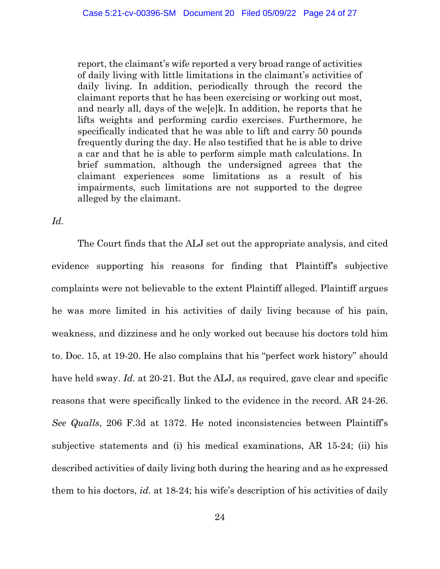report, the claimant's wife reported a very broad range of activities of daily living with little limitations in the claimant's activities of daily living. In addition, periodically through the record the claimant reports that he has been exercising or working out most, and nearly all, days of the we[e]k. In addition, he reports that he lifts weights and performing cardio exercises. Furthermore, he specifically indicated that he was able to lift and carry 50 pounds frequently during the day. He also testified that he is able to drive a car and that he is able to perform simple math calculations. In brief summation, although the undersigned agrees that the claimant experiences some limitations as a result of his impairments, such limitations are not supported to the degree alleged by the claimant.

## *Id.*

The Court finds that the ALJ set out the appropriate analysis, and cited evidence supporting his reasons for finding that Plaintiff's subjective complaints were not believable to the extent Plaintiff alleged. Plaintiff argues he was more limited in his activities of daily living because of his pain, weakness, and dizziness and he only worked out because his doctors told him to. Doc. 15, at 19-20. He also complains that his "perfect work history" should have held sway. *Id.* at 20-21. But the ALJ, as required, gave clear and specific reasons that were specifically linked to the evidence in the record. AR 24-26. *See Qualls*, 206 F.3d at 1372. He noted inconsistencies between Plaintiff's subjective statements and (i) his medical examinations, AR 15-24; (ii) his described activities of daily living both during the hearing and as he expressed them to his doctors, *id.* at 18-24; his wife's description of his activities of daily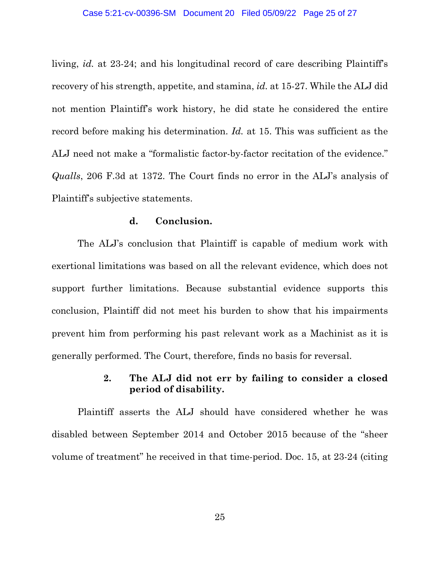living, *id.* at 23-24; and his longitudinal record of care describing Plaintiff's recovery of his strength, appetite, and stamina, *id.* at 15-27. While the ALJ did not mention Plaintiff's work history, he did state he considered the entire record before making his determination. *Id.* at 15. This was sufficient as the ALJ need not make a "formalistic factor-by-factor recitation of the evidence." *Qualls*, 206 F.3d at 1372. The Court finds no error in the ALJ's analysis of Plaintiff's subjective statements.

### **d. Conclusion.**

The ALJ's conclusion that Plaintiff is capable of medium work with exertional limitations was based on all the relevant evidence, which does not support further limitations. Because substantial evidence supports this conclusion, Plaintiff did not meet his burden to show that his impairments prevent him from performing his past relevant work as a Machinist as it is generally performed. The Court, therefore, finds no basis for reversal.

# **2. The ALJ did not err by failing to consider a closed period of disability.**

 Plaintiff asserts the ALJ should have considered whether he was disabled between September 2014 and October 2015 because of the "sheer volume of treatment" he received in that time-period. Doc. 15, at 23-24 (citing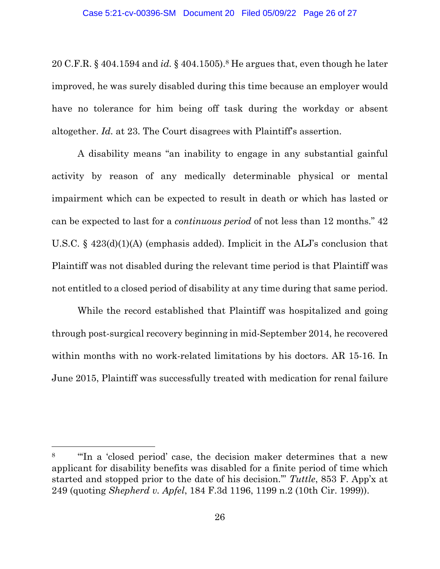20 C.F.R. § 404.1594 and *id.* § 404.1505).8 He argues that, even though he later improved, he was surely disabled during this time because an employer would have no tolerance for him being off task during the workday or absent altogether. *Id.* at 23. The Court disagrees with Plaintiff's assertion.

 A disability means "an inability to engage in any substantial gainful activity by reason of any medically determinable physical or mental impairment which can be expected to result in death or which has lasted or can be expected to last for a *continuous period* of not less than 12 months." 42 U.S.C. § 423(d)(1)(A) (emphasis added). Implicit in the ALJ's conclusion that Plaintiff was not disabled during the relevant time period is that Plaintiff was not entitled to a closed period of disability at any time during that same period.

While the record established that Plaintiff was hospitalized and going through post-surgical recovery beginning in mid-September 2014, he recovered within months with no work-related limitations by his doctors. AR 15-16. In June 2015, Plaintiff was successfully treated with medication for renal failure

<sup>8</sup> "'In a 'closed period' case, the decision maker determines that a new applicant for disability benefits was disabled for a finite period of time which started and stopped prior to the date of his decision.'" *Tuttle*, 853 F. App'x at 249 (quoting *Shepherd v. Apfel*, 184 F.3d 1196, 1199 n.2 (10th Cir. 1999)).